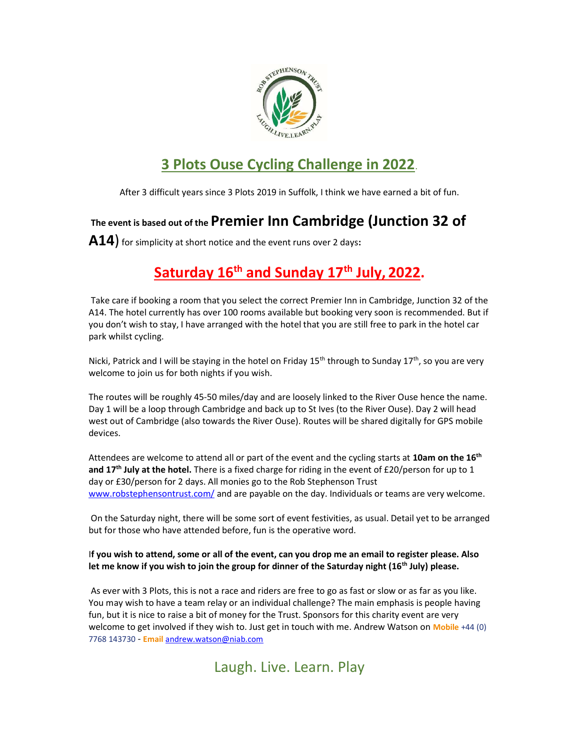

# 3 Plots Ouse Cycling Challenge in 2022.

After 3 difficult years since 3 Plots 2019 in Suffolk, I think we have earned a bit of fun.

### The event is based out of the Premier Inn Cambridge (Junction 32 of

A14) for simplicity at short notice and the event runs over 2 days:

## Saturday  $16<sup>th</sup>$  and Sunday  $17<sup>th</sup>$  July, 2022.

Take care if booking a room that you select the correct Premier Inn in Cambridge, Junction 32 of the A14. The hotel currently has over 100 rooms available but booking very soon is recommended. But if you don't wish to stay, I have arranged with the hotel that you are still free to park in the hotel car park whilst cycling.

Nicki, Patrick and I will be staying in the hotel on Friday 15<sup>th</sup> through to Sunday 17<sup>th</sup>, so you are very welcome to join us for both nights if you wish.

The routes will be roughly 45-50 miles/day and are loosely linked to the River Ouse hence the name. Day 1 will be a loop through Cambridge and back up to St Ives (to the River Ouse). Day 2 will head west out of Cambridge (also towards the River Ouse). Routes will be shared digitally for GPS mobile devices.

Attendees are welcome to attend all or part of the event and the cycling starts at 10am on the 16<sup>th</sup> and 17<sup>th</sup> July at the hotel. There is a fixed charge for riding in the event of £20/person for up to 1 day or £30/person for 2 days. All monies go to the Rob Stephenson Trust www.robstephensontrust.com/ and are payable on the day. Individuals or teams are very welcome.

 On the Saturday night, there will be some sort of event festivities, as usual. Detail yet to be arranged but for those who have attended before, fun is the operative word.

#### If you wish to attend, some or all of the event, can you drop me an email to register please. Also let me know if you wish to join the group for dinner of the Saturday night  $(16<sup>th</sup>$  July) please.

As ever with 3 Plots, this is not a race and riders are free to go as fast or slow or as far as you like. You may wish to have a team relay or an individual challenge? The main emphasis is people having fun, but it is nice to raise a bit of money for the Trust. Sponsors for this charity event are very welcome to get involved if they wish to. Just get in touch with me. Andrew Watson on Mobile +44 (0) 7768 143730 - Email andrew.watson@niab.com

### Laugh. Live. Learn. Play